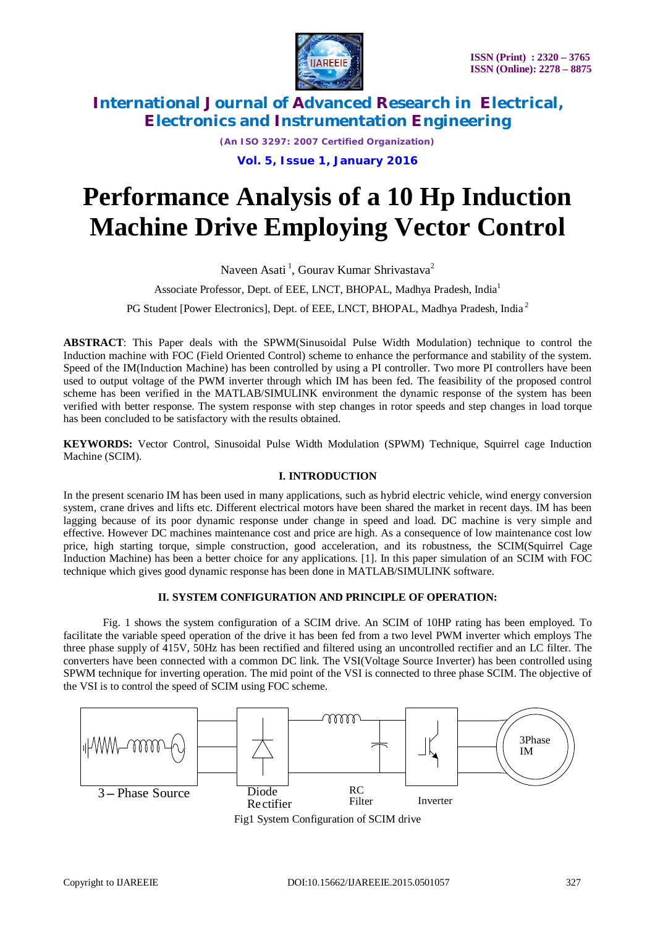

*(An ISO 3297: 2007 Certified Organization)*

**Vol. 5, Issue 1, January 2016**

# **Performance Analysis of a 10 Hp Induction Machine Drive Employing Vector Control**

Naveen Asati<sup>1</sup>, Gourav Kumar Shrivastava<sup>2</sup>

Associate Professor, Dept. of EEE, LNCT, BHOPAL, Madhya Pradesh, India<sup>1</sup>

PG Student [Power Electronics], Dept. of EEE, LNCT, BHOPAL, Madhya Pradesh, India<sup>2</sup>

**ABSTRACT**: This Paper deals with the SPWM(Sinusoidal Pulse Width Modulation) technique to control the Induction machine with FOC (Field Oriented Control) scheme to enhance the performance and stability of the system. Speed of the IM(Induction Machine) has been controlled by using a PI controller. Two more PI controllers have been used to output voltage of the PWM inverter through which IM has been fed. The feasibility of the proposed control scheme has been verified in the MATLAB/SIMULINK environment the dynamic response of the system has been verified with better response. The system response with step changes in rotor speeds and step changes in load torque has been concluded to be satisfactory with the results obtained.

**KEYWORDS:** Vector Control, Sinusoidal Pulse Width Modulation (SPWM) Technique, Squirrel cage Induction Machine (SCIM).

## **I. INTRODUCTION**

In the present scenario IM has been used in many applications, such as hybrid electric vehicle, wind energy conversion system, crane drives and lifts etc. Different electrical motors have been shared the market in recent days. IM has been lagging because of its poor dynamic response under change in speed and load. DC machine is very simple and effective. However DC machines maintenance cost and price are high. As a consequence of low maintenance cost low price, high starting torque, simple construction, good acceleration, and its robustness, the SCIM(Squirrel Cage Induction Machine) has been a better choice for any applications. [1]. In this paper simulation of an SCIM with FOC technique which gives good dynamic response has been done in MATLAB/SIMULINK software.

## **II. SYSTEM CONFIGURATION AND PRINCIPLE OF OPERATION:**

Fig. 1 shows the system configuration of a SCIM drive. An SCIM of 10HP rating has been employed. To facilitate the variable speed operation of the drive it has been fed from a two level PWM inverter which employs The three phase supply of 415V, 50Hz has been rectified and filtered using an uncontrolled rectifier and an LC filter. The converters have been connected with a common DC link. The VSI(Voltage Source Inverter) has been controlled using SPWM technique for inverting operation. The mid point of the VSI is connected to three phase SCIM. The objective of the VSI is to control the speed of SCIM using FOC scheme.



Fig1 System Configuration of SCIM drive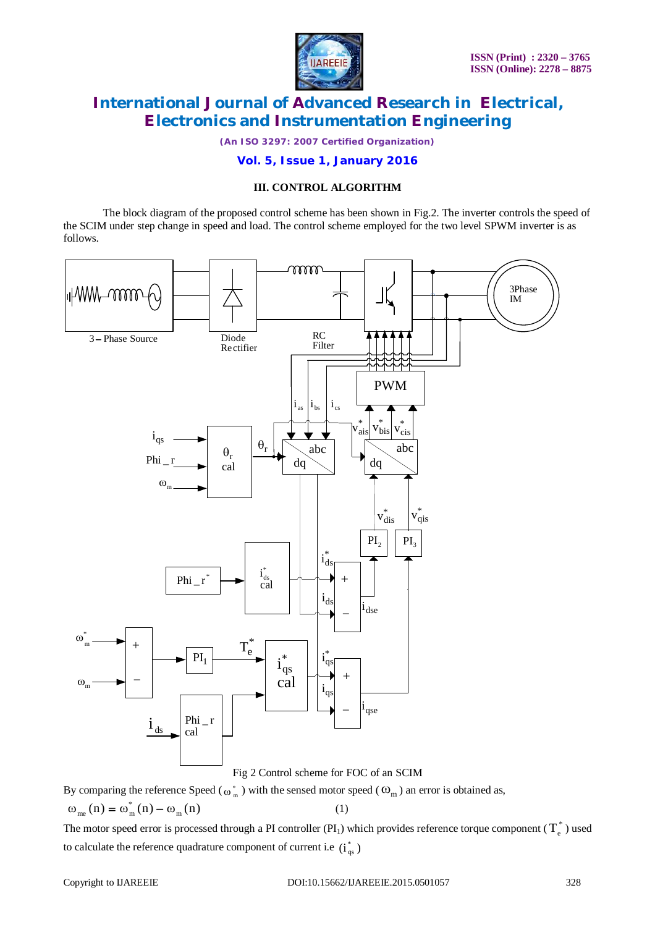

*(An ISO 3297: 2007 Certified Organization)*

**Vol. 5, Issue 1, January 2016**

## **III. CONTROL ALGORITHM**

The block diagram of the proposed control scheme has been shown in Fig.2. The inverter controls the speed of the SCIM under step change in speed and load. The control scheme employed for the two level SPWM inverter is as follows.



Fig 2 Control scheme for FOC of an SCIM

By comparing the reference Speed ( $\omega_m^*$ ) with the sensed motor speed ( $\omega_m$ ) an error is obtained as,

$$
\omega_{me}(n) = \omega_m^*(n) - \omega_m(n) \tag{1}
$$

The motor speed error is processed through a PI controller (PI<sub>1</sub>) which provides reference torque component ( $T_e^*$ ) used to calculate the reference quadrature component of current i.e  $(i_{qs}^*)$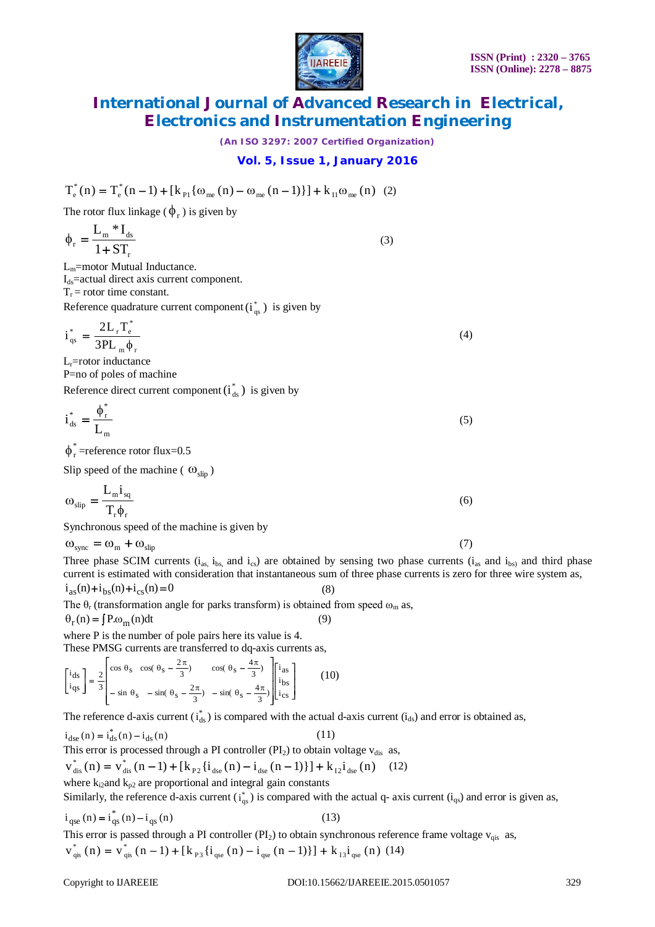#### **ISSN (Print) : 2320 – 3765 ISSN (Online): 2278 – 8875**



# **International Journal of Advanced Research in Electrical, Electronics and Instrumentation Engineering**

*(An ISO 3297: 2007 Certified Organization)*

**Vol. 5, Issue 1, January 2016**

$$
T_e^*(n) = T_e^*(n-1) + [k_{\text{Pl}}\{\omega_{\text{me}}(n) - \omega_{\text{me}}(n-1)\}] + k_{\text{II}}\omega_{\text{me}}(n) (2)
$$

The rotor flux linkage ( $\phi_r$ ) is given by

$$
\phi_r = \frac{L_m * I_{ds}}{1 + ST_r} \tag{3}
$$

Lm=motor Mutual Inductance.  $I_{ds}$ =actual direct axis current component.  $T_r$  = rotor time constant.

Reference quadrature current component  $(i_{qs}^*)$  is given by

$$
i_{qs}^* = \frac{2L_r T_e^*}{3PL_m \phi_r}
$$
 (4)

 $L<sub>r</sub>=rotor$  inductance P=no of poles of machine

Reference direct current component  $(i_{ds}^*)$  is given by

$$
i_{ds}^* = \frac{\phi_r^*}{L_m} \tag{5}
$$

 $\phi_{\rm r}^*$ =reference rotor flux=0.5

Slip speed of the machine ( $\omega_{\text{slip}}$ )

$$
\omega_{\rm slip} = \frac{L_{\rm m} i_{\rm sq}}{T_{\rm r} \phi_{\rm r}} \tag{6}
$$

Synchronous speed of the machine is given by

$$
\omega_{\rm sync} = \omega_{\rm m} + \omega_{\rm slip} \tag{7}
$$

Three phase SCIM currents ( $i_{as}$ ,  $i_{bs}$ , and  $i_{cs}$ ) are obtained by sensing two phase currents ( $i_{as}$  and  $i_{bs}$ ) and third phase current is estimated with consideration that instantaneous sum of three phase currents is zero for three wire system as,  $i_{as}(n)+i_{bs}(n)+i_{cs}(n) = 0$  (8)

The  $\theta_r$  (transformation angle for parks transform) is obtained from speed  $\omega_m$  as,

$$
\Theta_{\rm r}(\mathbf{n}) = \int P \cdot \omega_{\rm m}(\mathbf{n}) \mathrm{d}t \tag{9}
$$

where P is the number of pole pairs here its value is 4.

These PMSG currents are transferred to dq-axis currents as,

$$
\begin{bmatrix} i_{ds} \\ i_{qs} \end{bmatrix} = \frac{2}{3} \begin{bmatrix} \cos \theta_{s} & \cos(\theta_{s} - \frac{2\pi}{3}) & \cos(\theta_{s} - \frac{4\pi}{3}) \\ -\sin \theta_{s} & -\sin(\theta_{s} - \frac{2\pi}{3}) & -\sin(\theta_{s} - \frac{4\pi}{3}) \end{bmatrix} \begin{bmatrix} i_{as} \\ i_{bs} \\ i_{cs} \end{bmatrix}
$$
(10)

The reference d-axis current  $(i_{ds}^*)$  is compared with the actual d-axis current  $(i_{ds})$  and error is obtained as,

 $i_{\text{dse}}(n) = i_{\text{ds}}^*(n) - i_{\text{ds}}(n)$  (11)

This error is processed through a PI controller ( $PI<sub>2</sub>$ ) to obtain voltage  $v<sub>dis</sub>$  as,

 $v_{dis}^{*}(n) = v_{dis}^{*}(n-1) + [k_{P2} \{i_{dse}(n) - i_{dse}(n-1)\}] + k_{I2} i_{dse}(n)$  (12)

where  $k_{i2}$  and  $k_{p2}$  are proportional and integral gain constants

Similarly, the reference d-axis current  $(i_{qs}^*)$  is compared with the actual q- axis current  $(i_{qs})$  and error is given as,

$$
i_{qse}(n) = i_{qs}^*(n) - i_{qs}(n)
$$
 (13)

This error is passed through a PI controller ( $PI_2$ ) to obtain synchronous reference frame voltage  $v_{qis}$  as,  $v_{\text{qis}}^*$  (n) =  $v_{\text{qis}}^*$  (n - 1) + [k  $_{P3}$  {i  $_{qse}$  (n) - i  $_{qse}$  (n - 1)}] + k  $_{I3}$ i  $_{qse}$  (n) (14)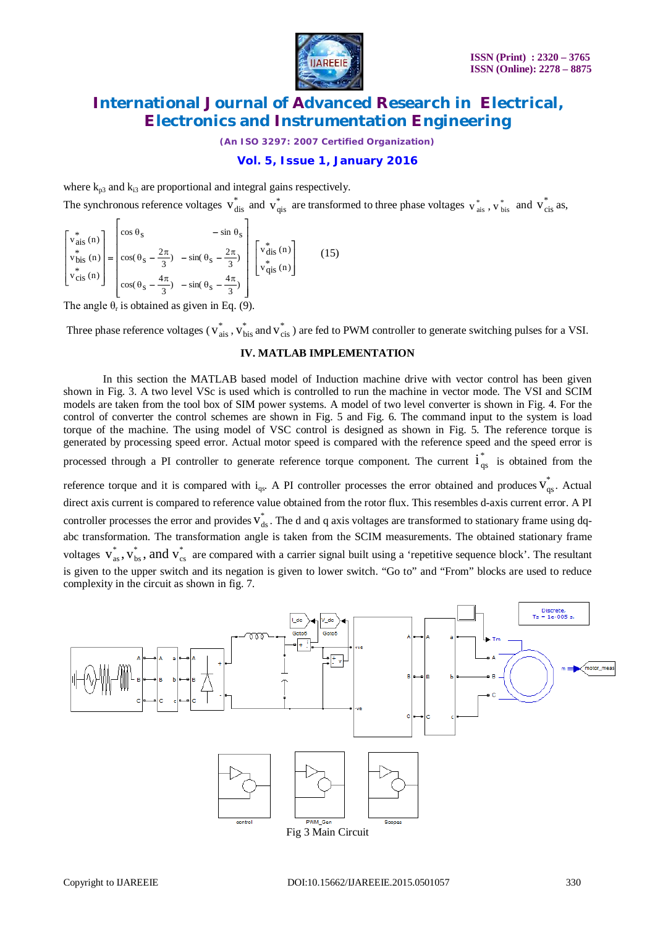

*(An ISO 3297: 2007 Certified Organization)*

## **Vol. 5, Issue 1, January 2016**

where  $k_{p3}$  and  $k_{i3}$  are proportional and integral gains respectively.

The synchronous reference voltages  $v_{dis}^*$  and  $v_{qis}^*$  are transformed to three phase voltages  $v_{ais}^*$ ,  $v_{bis}^*$  and  $v_{cis}^*$  as,

$$
\begin{bmatrix}\nv_{\text{ais}}^* \n\text{(n)} \\
v_{\text{bis}}^* \n\text{(n)} \\
v_{\text{cis}}^* \n\text{(n)} \\
v_{\text{cis}}^* \n\text{(n)}\n\end{bmatrix} = \begin{bmatrix}\n\cos \theta_s & -\sin \theta_s \\
\cos(\theta_s - \frac{2\pi}{3}) & -\sin(\theta_s - \frac{2\pi}{3}) \\
\cos(\theta_s - \frac{4\pi}{3}) & -\sin(\theta_s - \frac{4\pi}{3})\n\end{bmatrix} \begin{bmatrix}\nv_{\text{dis}}^* \n\text{(n)} \\
v_{\text{qis}}^* \n\text{(n)}\n\end{bmatrix}
$$
\n(15)

The angle  $\theta_r$  is obtained as given in Eq. (9).

Three phase reference voltages ( $v_{ais}^*$ ,  $v_{bis}^*$  and  $v_{cis}^*$ ) are fed to PWM controller to generate switching pulses for a VSI.

### **IV. MATLAB IMPLEMENTATION**

In this section the MATLAB based model of Induction machine drive with vector control has been given shown in Fig. 3. A two level VSc is used which is controlled to run the machine in vector mode. The VSI and SCIM models are taken from the tool box of SIM power systems. A model of two level converter is shown in Fig. 4. For the control of converter the control schemes are shown in Fig. 5 and Fig. 6. The command input to the system is load torque of the machine. The using model of VSC control is designed as shown in Fig. 5. The reference torque is generated by processing speed error. Actual motor speed is compared with the reference speed and the speed error is

processed through a PI controller to generate reference torque component. The current  $i_{qs}^*$  is obtained from the

reference torque and it is compared with  $i_{qs}$ . A PI controller processes the error obtained and produces  $v_{qs}^*$ . Actual direct axis current is compared to reference value obtained from the rotor flux. This resembles d-axis current error. A PI controller processes the error and provides  $v_{ds}^*$ . The d and q axis voltages are transformed to stationary frame using dqabc transformation. The transformation angle is taken from the SCIM measurements. The obtained stationary frame voltages  $v_{as}^*$ ,  $v_{bs}^*$ , and  $v_{cs}^*$ \* bs  $v_{as}^*$ ,  $v_{bs}^*$ , and  $v_{cs}^*$  are compared with a carrier signal built using a 'repetitive sequence block'. The resultant is given to the upper switch and its negation is given to lower switch. "Go to" and "From" blocks are used to reduce complexity in the circuit as shown in fig. 7.

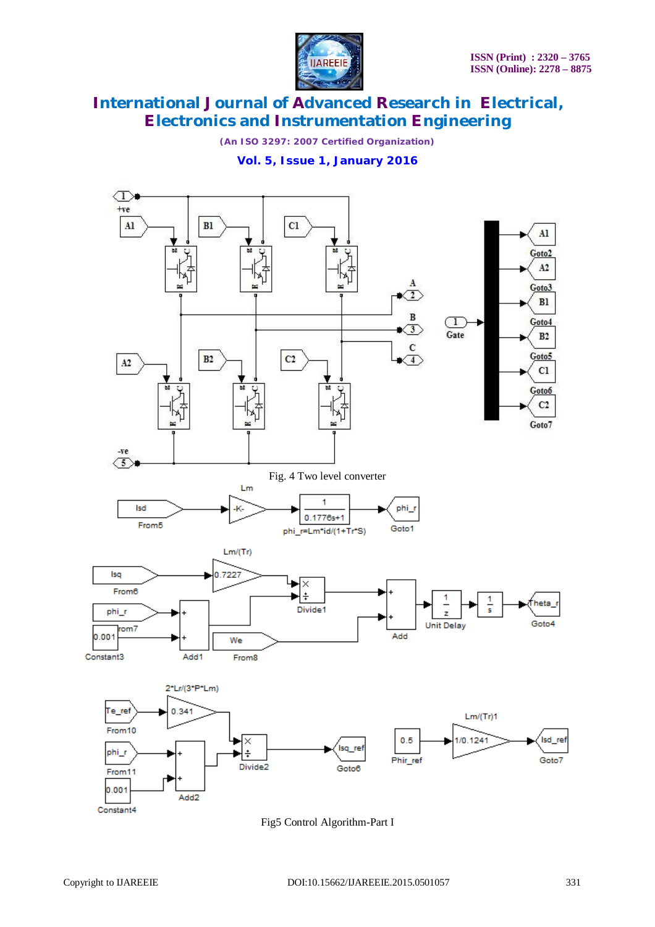

*(An ISO 3297: 2007 Certified Organization)*

## **Vol. 5, Issue 1, January 2016**



Fig5 Control Algorithm-Part I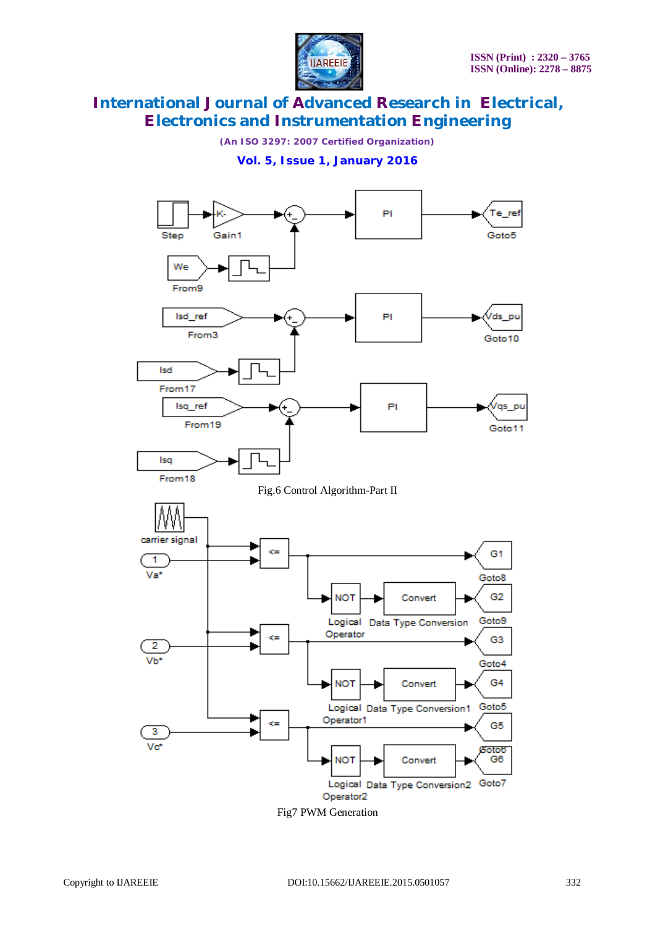

*(An ISO 3297: 2007 Certified Organization)*

**Vol. 5, Issue 1, January 2016**

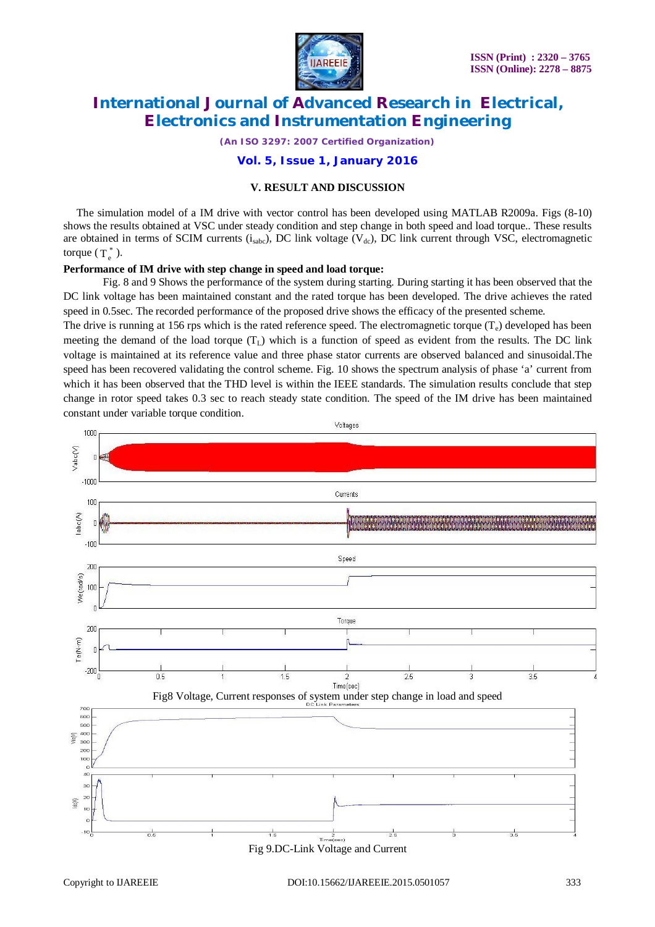

*(An ISO 3297: 2007 Certified Organization)*

**Vol. 5, Issue 1, January 2016**

## **V. RESULT AND DISCUSSION**

The simulation model of a IM drive with vector control has been developed using MATLAB R2009a. Figs (8-10) shows the results obtained at VSC under steady condition and step change in both speed and load torque.. These results are obtained in terms of SCIM currents  $(i_{sabc})$ , DC link voltage  $(V_{dc})$ , DC link current through VSC, electromagnetic torque  $(T_e^*)$ .

## **Performance of IM drive with step change in speed and load torque:**

Fig. 8 and 9 Shows the performance of the system during starting. During starting it has been observed that the DC link voltage has been maintained constant and the rated torque has been developed. The drive achieves the rated speed in 0.5sec. The recorded performance of the proposed drive shows the efficacy of the presented scheme.

The drive is running at 156 rps which is the rated reference speed. The electromagnetic torque  $(T_e)$  developed has been meeting the demand of the load torque  $(T<sub>L</sub>)$  which is a function of speed as evident from the results. The DC link voltage is maintained at its reference value and three phase stator currents are observed balanced and sinusoidal.The speed has been recovered validating the control scheme. Fig. 10 shows the spectrum analysis of phase 'a' current from which it has been observed that the THD level is within the IEEE standards. The simulation results conclude that step change in rotor speed takes 0.3 sec to reach steady state condition. The speed of the IM drive has been maintained constant under variable torque condition.